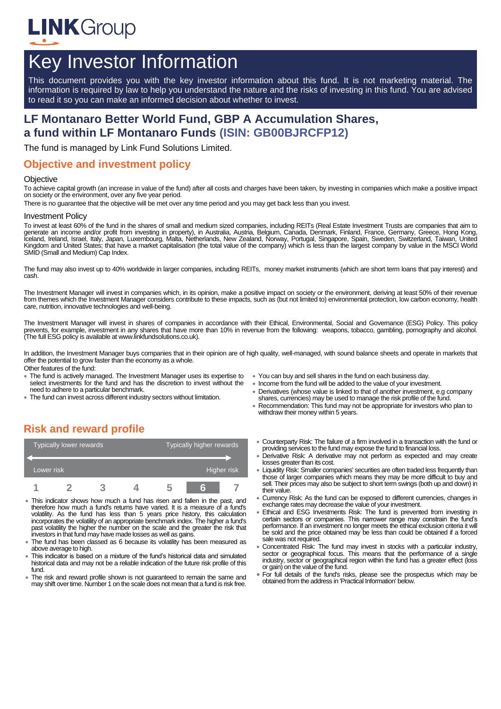

# Key Investor Information

This document provides you with the key investor information about this fund. It is not marketing material. The information is required by law to help you understand the nature and the risks of investing in this fund. You are advised to read it so you can make an informed decision about whether to invest.

# **LF Montanaro Better World Fund, GBP A Accumulation Shares, a fund within LF Montanaro Funds (ISIN: GB00BJRCFP12)**

The fund is managed by Link Fund Solutions Limited.

#### **Objective and investment policy**

#### **Objective**

To achieve capital growth (an increase in value of the fund) after all costs and charges have been taken, by investing in companies which make a positive impact on society or the environment, over any five year period.

There is no guarantee that the objective will be met over any time period and you may get back less than you invest.

#### Investment Policy

To invest at least 60% of the fund in the shares of small and medium sized companies, including REITs (Real Estate Investment Trusts are companies that aim to generate an income and/or profit from investing in property), in Australia, Austria, Belgium, Canada, Denmark, Finland, France, Germany, Greece, Hong Kong, lceland, Ireland, Israel, Italy, Japan, Luxembourg, Malta, Netherlands, New Zealand, Norway, Portugal, Singapore, Spain, Sweden, Switzerland, Taiwan, United<br>Kingdom and United States; that have a market capitalisation (the SMID (Small and Medium) Cap Index.

The fund may also invest up to 40% worldwide in larger companies, including REITs, money market instruments (which are short term loans that pay interest) and cash.

The Investment Manager will invest in companies which, in its opinion, make a positive impact on society or the environment, deriving at least 50% of their revenue from themes which the Investment Manager considers contribute to these impacts, such as (but not limited to) environmental protection, low carbon economy, health care, nutrition, innovative technologies and well-being.

The Investment Manager will invest in shares of companies in accordance with their Ethical, Environmental, Social and Governance (ESG) Policy. This policy prevents, for example, investment in any shares that have more than 10% in revenue from the following: weapons, tobacco, gambling, pornography and alcohol. (The full ESG policy is available at www.linkfundsolutions.co.uk).

In addition, the Investment Manager buys companies that in their opinion are of high quality, well-managed, with sound balance sheets and operate in markets that offer the potential to grow faster than the economy as a whole.

Other features of the fund:

- The fund is actively managed. The Investment Manager uses its expertise to select investments for the fund and has the discretion to invest without the need to adhere to a particular benchmark.
- The fund can invest across different industry sectors without limitation.
- You can buy and sell shares in the fund on each business day.
- Income from the fund will be added to the value of your investment.
- Derivatives (whose value is linked to that of another investment, e.g company
- shares, currencies) may be used to manage the risk profile of the fund. Recommendation: This fund may not be appropriate for investors who plan to

# withdraw their money within 5 years.

# **Risk and reward profile**

|            | Typically lower rewards |  | Typically higher rewards |  |  |             |
|------------|-------------------------|--|--------------------------|--|--|-------------|
|            |                         |  |                          |  |  |             |
| Lower risk |                         |  |                          |  |  | Higher risk |
|            |                         |  |                          |  |  |             |

- This indicator shows how much a fund has risen and fallen in the past, and therefore how much a fund's returns have varied. It is a measure of a fund's volatility. As the fund has less than 5 years price history, this calculation incorporates the volatility of an appropriate benchmark index. The higher a fund's past volatility the higher the number on the scale and the greater the risk that investors in that fund may have made losses as well as gains.
- The fund has been classed as 6 because its volatility has been measured as above average to high.
- This indicator is based on a mixture of the fund's historical data and simulated historical data and may not be a reliable indication of the future risk profile of this fund.
- The risk and reward profile shown is not quaranteed to remain the same and may shift over time. Number 1 on the scale does not mean that a fund is risk free.
- Counterparty Risk: The failure of a firm involved in a transaction with the fund or providing services to the fund may expose the fund to financial loss.
- Derivative Risk: A derivative may not perform as expected and may create losses greater than its cost.
- Liquidity Risk: Smaller companies' securities are often traded less frequently than those of larger companies which means they may be more difficult to buy and sell. Their prices may also be subject to short term swings (both up and down) in their value.
- Currency Risk: As the fund can be exposed to different currencies, changes in exchange rates may decrease the value of your investment.
- Ethical and ESG Investments Risk: The fund is prevented from investing in certain sectors or companies. This narrower range may constrain the fund's performance. If an investment no longer meets the ethical exclusion criteria it will be sold and the price obtained may be less than could be obtained if a forced sale was not required.
- Concentrated Risk: The fund may invest in stocks with a particular industry, sector or geographical focus. This means that the performance of a single industry, sector or geographical region within the fund has a greater effect (loss or gain) on the value of the fund.
- For full details of the fund's risks, please see the prospectus which may be obtained from the address in 'Practical Information' below.